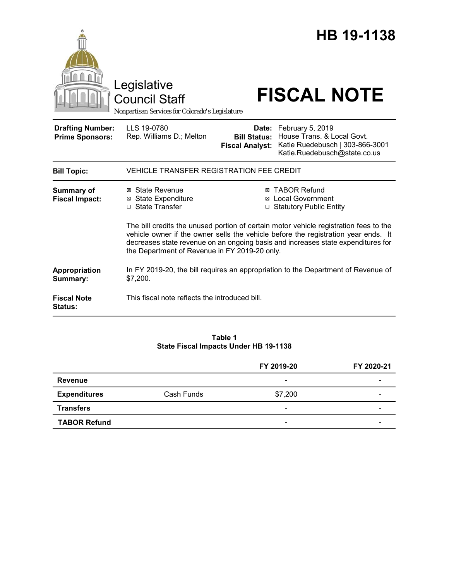|                                                   | Legislative<br><b>Council Staff</b><br>Nonpartisan Services for Colorado's Legislature                                                                                                                                                                                                                           |                                                        | HB 19-1138<br><b>FISCAL NOTE</b>                                                                                  |  |
|---------------------------------------------------|------------------------------------------------------------------------------------------------------------------------------------------------------------------------------------------------------------------------------------------------------------------------------------------------------------------|--------------------------------------------------------|-------------------------------------------------------------------------------------------------------------------|--|
| <b>Drafting Number:</b><br><b>Prime Sponsors:</b> | LLS 19-0780<br>Rep. Williams D.; Melton                                                                                                                                                                                                                                                                          | Date:<br><b>Bill Status:</b><br><b>Fiscal Analyst:</b> | February 5, 2019<br>House Trans. & Local Govt.<br>Katie Ruedebusch   303-866-3001<br>Katie.Ruedebusch@state.co.us |  |
| <b>Bill Topic:</b>                                | <b>VEHICLE TRANSFER REGISTRATION FEE CREDIT</b>                                                                                                                                                                                                                                                                  |                                                        |                                                                                                                   |  |
| <b>Summary of</b><br><b>Fiscal Impact:</b>        | ⊠ State Revenue<br><b>⊠ State Expenditure</b><br>□ State Transfer                                                                                                                                                                                                                                                |                                                        | <b>⊠ TABOR Refund</b><br>⊠ Local Government<br>□ Statutory Public Entity                                          |  |
|                                                   | The bill credits the unused portion of certain motor vehicle registration fees to the<br>vehicle owner if the owner sells the vehicle before the registration year ends. It<br>decreases state revenue on an ongoing basis and increases state expenditures for<br>the Department of Revenue in FY 2019-20 only. |                                                        |                                                                                                                   |  |
| Appropriation<br>Summary:                         | In FY 2019-20, the bill requires an appropriation to the Department of Revenue of<br>\$7,200.                                                                                                                                                                                                                    |                                                        |                                                                                                                   |  |
| <b>Fiscal Note</b><br><b>Status:</b>              | This fiscal note reflects the introduced bill.                                                                                                                                                                                                                                                                   |                                                        |                                                                                                                   |  |

## **Table 1 State Fiscal Impacts Under HB 19-1138**

|                     |            | FY 2019-20               | FY 2020-21 |
|---------------------|------------|--------------------------|------------|
| <b>Revenue</b>      |            | $\overline{\phantom{a}}$ |            |
| <b>Expenditures</b> | Cash Funds | \$7,200                  |            |
| <b>Transfers</b>    |            | $\overline{\phantom{0}}$ |            |
| <b>TABOR Refund</b> |            | -                        |            |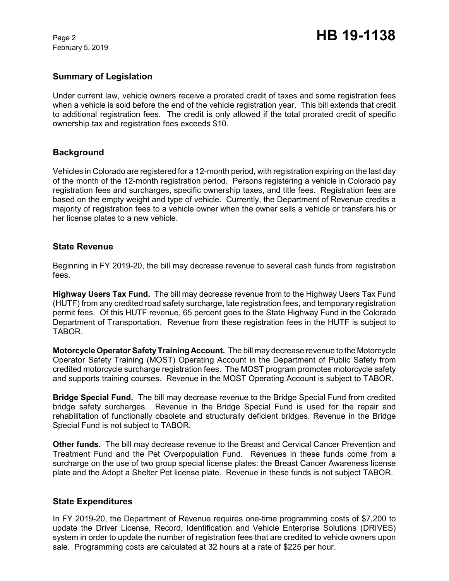February 5, 2019

# **Summary of Legislation**

Under current law, vehicle owners receive a prorated credit of taxes and some registration fees when a vehicle is sold before the end of the vehicle registration year. This bill extends that credit to additional registration fees. The credit is only allowed if the total prorated credit of specific ownership tax and registration fees exceeds \$10.

## **Background**

Vehicles in Colorado are registered for a 12-month period, with registration expiring on the last day of the month of the 12-month registration period. Persons registering a vehicle in Colorado pay registration fees and surcharges, specific ownership taxes, and title fees. Registration fees are based on the empty weight and type of vehicle. Currently, the Department of Revenue credits a majority of registration fees to a vehicle owner when the owner sells a vehicle or transfers his or her license plates to a new vehicle.

## **State Revenue**

Beginning in FY 2019-20, the bill may decrease revenue to several cash funds from registration fees.

**Highway Users Tax Fund.** The bill may decrease revenue from to the Highway Users Tax Fund (HUTF) from any credited road safety surcharge, late registration fees, and temporary registration permit fees. Of this HUTF revenue, 65 percent goes to the State Highway Fund in the Colorado Department of Transportation. Revenue from these registration fees in the HUTF is subject to TABOR.

**Motorcycle Operator Safety Training Account.** The bill may decrease revenue to the Motorcycle Operator Safety Training (MOST) Operating Account in the Department of Public Safety from credited motorcycle surcharge registration fees. The MOST program promotes motorcycle safety and supports training courses. Revenue in the MOST Operating Account is subject to TABOR.

**Bridge Special Fund.** The bill may decrease revenue to the Bridge Special Fund from credited bridge safety surcharges. Revenue in the Bridge Special Fund is used for the repair and rehabilitation of functionally obsolete and structurally deficient bridges. Revenue in the Bridge Special Fund is not subject to TABOR.

**Other funds.** The bill may decrease revenue to the Breast and Cervical Cancer Prevention and Treatment Fund and the Pet Overpopulation Fund. Revenues in these funds come from a surcharge on the use of two group special license plates: the Breast Cancer Awareness license plate and the Adopt a Shelter Pet license plate. Revenue in these funds is not subject TABOR.

## **State Expenditures**

In FY 2019-20, the Department of Revenue requires one-time programming costs of \$7,200 to update the Driver License, Record, Identification and Vehicle Enterprise Solutions (DRIVES) system in order to update the number of registration fees that are credited to vehicle owners upon sale. Programming costs are calculated at 32 hours at a rate of \$225 per hour.